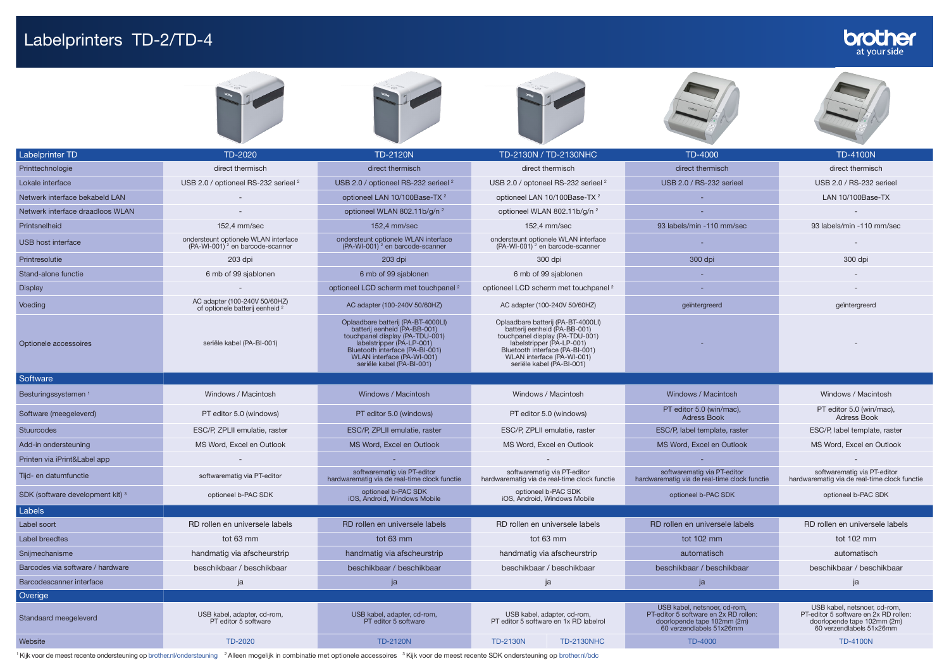## Labelprinters TD-2/TD-4



| Netwerk interface bekabeld LAN   |                                                                                     | optioneel LAN 10/100Base-TX <sup>2</sup>                                                                                                                                                                                         | optioneel LAN 10/100Base-TX <sup>2</sup>                                                                                                                                                                                         |                                                                                                                                  | LAN 10/100Base-TX                                                                                                                |
|----------------------------------|-------------------------------------------------------------------------------------|----------------------------------------------------------------------------------------------------------------------------------------------------------------------------------------------------------------------------------|----------------------------------------------------------------------------------------------------------------------------------------------------------------------------------------------------------------------------------|----------------------------------------------------------------------------------------------------------------------------------|----------------------------------------------------------------------------------------------------------------------------------|
| Netwerk interface draadloos WLAN |                                                                                     | optioneel WLAN 802.11b/g/n <sup>2</sup>                                                                                                                                                                                          | optioneel WLAN 802.11b/g/n <sup>2</sup>                                                                                                                                                                                          |                                                                                                                                  |                                                                                                                                  |
| Printsnelheid                    | 152.4 mm/sec                                                                        | 152.4 mm/sec                                                                                                                                                                                                                     | 152.4 mm/sec                                                                                                                                                                                                                     | 93 labels/min -110 mm/sec                                                                                                        | 93 labels/min -110 mm/sec                                                                                                        |
| USB host interface               | ondersteunt optionele WLAN interface<br>(PA-WI-001) <sup>2</sup> en barcode-scanner | ondersteunt optionele WLAN interface<br>(PA-WI-001) <sup>2</sup> en barcode-scanner                                                                                                                                              | ondersteunt optionele WLAN interface<br>$(PA-WI-001)^2$ en barcode-scanner                                                                                                                                                       |                                                                                                                                  |                                                                                                                                  |
| Printresolutie                   | 203 dpi                                                                             | 203 dpi                                                                                                                                                                                                                          | 300 dpi                                                                                                                                                                                                                          | 300 dpi                                                                                                                          | 300 dpi                                                                                                                          |
| Stand-alone functie              | 6 mb of 99 sjablonen                                                                | 6 mb of 99 sjablonen                                                                                                                                                                                                             | 6 mb of 99 sjablonen                                                                                                                                                                                                             |                                                                                                                                  |                                                                                                                                  |
| <b>Display</b>                   |                                                                                     | optioneel LCD scherm met touchpanel <sup>2</sup>                                                                                                                                                                                 | optioneel LCD scherm met touchpanel <sup>2</sup>                                                                                                                                                                                 |                                                                                                                                  |                                                                                                                                  |
| Voeding                          | AC adapter (100-240V 50/60HZ)<br>of optionele batterij eenheid <sup>2</sup>         | AC adapter (100-240V 50/60HZ)                                                                                                                                                                                                    | AC adapter (100-240V 50/60HZ)                                                                                                                                                                                                    | geïntergreerd                                                                                                                    | geïntergreerd                                                                                                                    |
| Optionele accessoires            | seriële kabel (PA-BI-001)                                                           | Oplaadbare batterij (PA-BT-4000LI)<br>batterij eenheid (PA-BB-001)<br>touchpanel display (PA-TDU-001)<br>labelstripper (PA-LP-001)<br>Bluetooth interface (PA-BI-001)<br>WLAN interface (PA-WI-001)<br>seriële kabel (PA-BI-001) | Oplaadbare batterij (PA-BT-4000LI)<br>batterij eenheid (PA-BB-001)<br>touchpanel display (PA-TDU-001)<br>labelstripper (PA-LP-001)<br>Bluetooth interface (PA-BI-001)<br>WLAN interface (PA-WI-001)<br>seriële kabel (PA-BI-001) |                                                                                                                                  |                                                                                                                                  |
| Software                         |                                                                                     |                                                                                                                                                                                                                                  |                                                                                                                                                                                                                                  |                                                                                                                                  |                                                                                                                                  |
| Besturingssystemen <sup>1</sup>  | Windows / Macintosh                                                                 | Windows / Macintosh                                                                                                                                                                                                              | Windows / Macintosh                                                                                                                                                                                                              | Windows / Macintosh                                                                                                              | Windows / Macintosh                                                                                                              |
| Software (meegeleverd)           | PT editor 5.0 (windows)                                                             | PT editor 5.0 (windows)                                                                                                                                                                                                          | PT editor 5.0 (windows)                                                                                                                                                                                                          | PT editor 5.0 (win/mac),<br><b>Adress Book</b>                                                                                   | PT editor 5.0 (win/mac),<br><b>Adress Book</b>                                                                                   |
| <b>Stuurcodes</b>                | ESC/P. ZPLII emulatie, raster                                                       | ESC/P. ZPLII emulatie, raster                                                                                                                                                                                                    | ESC/P. ZPLII emulatie, raster                                                                                                                                                                                                    | ESC/P, label template, raster                                                                                                    | ESC/P, label template, raster                                                                                                    |
| Add-in ondersteuning             | MS Word, Excel en Outlook                                                           | MS Word, Excel en Outlook                                                                                                                                                                                                        | MS Word, Excel en Outlook                                                                                                                                                                                                        | MS Word, Excel en Outlook                                                                                                        | MS Word, Excel en Outlook                                                                                                        |
| Printen via iPrint&Label app     |                                                                                     |                                                                                                                                                                                                                                  |                                                                                                                                                                                                                                  |                                                                                                                                  |                                                                                                                                  |
| Tijd- en datumfunctie            | softwarematig via PT-editor                                                         | softwarematig via PT-editor<br>hardwarematig via de real-time clock functie                                                                                                                                                      | softwarematig via PT-editor<br>hardwarematig via de real-time clock functie                                                                                                                                                      | softwarematig via PT-editor<br>hardwarematig via de real-time clock functie                                                      | softwarematig via PT-editor<br>hardwarematig via de real-time clock functie                                                      |
| SDK (software development kit) 3 | optioneel b-PAC SDK                                                                 | optioneel b-PAC SDK<br>iOS, Android, Windows Mobile                                                                                                                                                                              | optioneel b-PAC SDK<br>iOS, Android, Windows Mobile                                                                                                                                                                              | optioneel b-PAC SDK                                                                                                              | optioneel b-PAC SDK                                                                                                              |
| Labels                           |                                                                                     |                                                                                                                                                                                                                                  |                                                                                                                                                                                                                                  |                                                                                                                                  |                                                                                                                                  |
| Label soort                      | RD rollen en universele labels                                                      | RD rollen en universele labels                                                                                                                                                                                                   | RD rollen en universele labels                                                                                                                                                                                                   | RD rollen en universele labels                                                                                                   | RD rollen en universele labels                                                                                                   |
| Label breedtes                   | tot 63 mm                                                                           | tot 63 mm                                                                                                                                                                                                                        | tot 63 mm                                                                                                                                                                                                                        | tot 102 mm                                                                                                                       | tot 102 mm                                                                                                                       |
| Snijmechanisme                   | handmatig via afscheurstrip                                                         | handmatig via afscheurstrip                                                                                                                                                                                                      | handmatig via afscheurstrip                                                                                                                                                                                                      | automatisch                                                                                                                      | automatisch                                                                                                                      |
| Barcodes via software / hardware | beschikbaar / beschikbaar                                                           | beschikbaar / beschikbaar                                                                                                                                                                                                        | beschikbaar / beschikbaar                                                                                                                                                                                                        | beschikbaar / beschikbaar                                                                                                        | beschikbaar / beschikbaar                                                                                                        |
| Barcodescanner interface         | ja                                                                                  | ja                                                                                                                                                                                                                               | ja                                                                                                                                                                                                                               | ja                                                                                                                               | ja                                                                                                                               |
| Overige                          |                                                                                     |                                                                                                                                                                                                                                  |                                                                                                                                                                                                                                  |                                                                                                                                  |                                                                                                                                  |
| Standaard meegeleverd            | USB kabel, adapter, cd-rom,<br>PT editor 5 software                                 | USB kabel, adapter, cd-rom,<br>PT editor 5 software                                                                                                                                                                              | USB kabel, adapter, cd-rom,<br>PT editor 5 software en 1x RD labelrol                                                                                                                                                            | USB kabel, netsnoer, cd-rom,<br>PT-editor 5 software en 2x RD rollen:<br>doorlopende tape 102mm (2m)<br>60 verzendlabels 51x26mm | USB kabel, netsnoer, cd-rom,<br>PT-editor 5 software en 2x RD rollen:<br>doorlopende tape 102mm (2m)<br>60 verzendlabels 51x26mm |
| Website                          | TD-2020                                                                             | <b>TD-2120N</b>                                                                                                                                                                                                                  | <b>TD-2130N</b><br><b>TD-2130NHC</b>                                                                                                                                                                                             | <b>TD-4000</b>                                                                                                                   | <b>TD-4100N</b>                                                                                                                  |

<sup>1</sup> Kijk voor de meest recente ondersteuning op [brother.nl/ondersteuning](http://www.brother.nl/ondersteuning) <sup>2</sup> Alleen mogelijk in combinatie met optionele accessoires <sup>3</sup> Kijk voor de meest recente SDK ondersteuning op [brother.nl/bdc](http://www.brother.nl/bdc)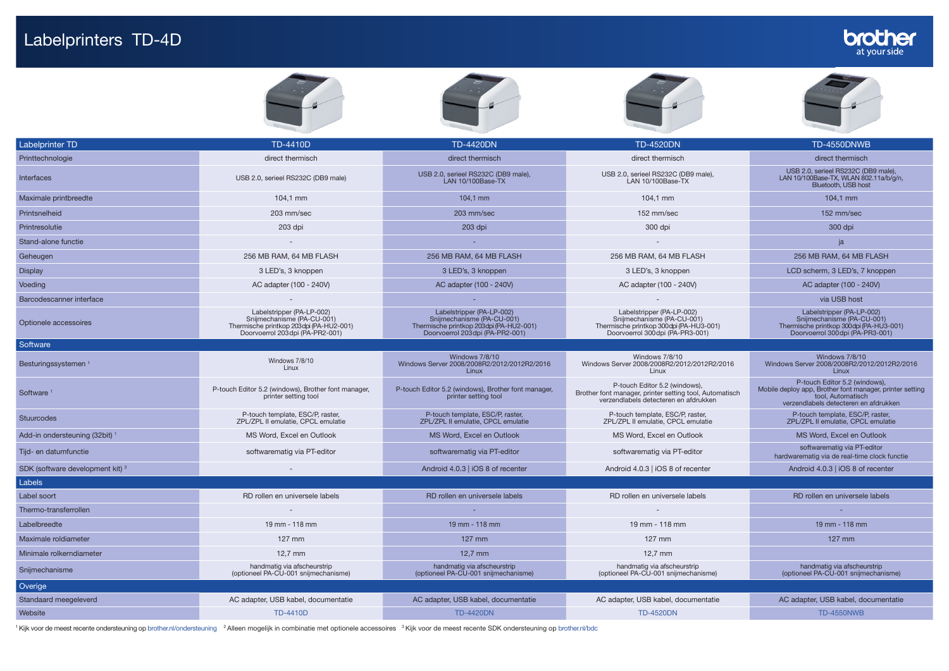## Labelprinters TD-4D











| <b>Labelprinter TD</b>                      | <b>TD-4410D</b>                                                                                                                       | <b>TD-4420DN</b>                                                                                                                      | <b>TD-4520DN</b>                                                                                                                       | <b>TD-4550DNWB</b>                                                                                                                                      |
|---------------------------------------------|---------------------------------------------------------------------------------------------------------------------------------------|---------------------------------------------------------------------------------------------------------------------------------------|----------------------------------------------------------------------------------------------------------------------------------------|---------------------------------------------------------------------------------------------------------------------------------------------------------|
| Printtechnologie                            | direct thermisch                                                                                                                      | direct thermisch                                                                                                                      | direct thermisch                                                                                                                       | direct thermisch                                                                                                                                        |
| <b>Interfaces</b>                           | USB 2.0, serieel RS232C (DB9 male)                                                                                                    | USB 2.0, serieel RS232C (DB9 male),<br>LAN 10/100Base-TX                                                                              | USB 2.0, serieel RS232C (DB9 male),<br>LAN 10/100Base-TX                                                                               | USB 2.0, serieel RS232C (DB9 male),<br>LAN 10/100Base-TX, WLAN 802.11a/b/g/n,<br>Bluetooth, USB host                                                    |
| Maximale printbreedte                       | 104,1 mm                                                                                                                              | 104,1 mm                                                                                                                              | 104,1 mm                                                                                                                               | 104,1 mm                                                                                                                                                |
| Printsnelheid                               | 203 mm/sec                                                                                                                            | 203 mm/sec                                                                                                                            | 152 mm/sec                                                                                                                             | 152 mm/sec                                                                                                                                              |
| Printresolutie                              | 203 dpi                                                                                                                               | 203 dpi                                                                                                                               | 300 dpi                                                                                                                                | 300 dpi                                                                                                                                                 |
| Stand-alone functie                         |                                                                                                                                       |                                                                                                                                       |                                                                                                                                        | ja                                                                                                                                                      |
| Geheugen                                    | 256 MB RAM, 64 MB FLASH                                                                                                               | 256 MB RAM, 64 MB FLASH                                                                                                               | 256 MB RAM, 64 MB FLASH                                                                                                                | 256 MB RAM, 64 MB FLASH                                                                                                                                 |
| <b>Display</b>                              | 3 LED's, 3 knoppen                                                                                                                    | 3 LED's, 3 knoppen                                                                                                                    | 3 LED's, 3 knoppen                                                                                                                     | LCD scherm, 3 LED's, 7 knoppen                                                                                                                          |
| Voeding                                     | AC adapter (100 - 240V)                                                                                                               | AC adapter (100 - 240V)                                                                                                               | AC adapter (100 - 240V)                                                                                                                | AC adapter (100 - 240V)                                                                                                                                 |
| Barcodescanner interface                    |                                                                                                                                       |                                                                                                                                       |                                                                                                                                        | via USB host                                                                                                                                            |
| Optionele accessoires                       | Labelstripper (PA-LP-002)<br>Snijmechanisme (PA-CU-001)<br>Thermische printkop 203dpi (PA-HU2-001)<br>Doorvoerrol 203dpi (PA-PR2-001) | Labelstripper (PA-LP-002)<br>Snijmechanisme (PA-CU-001)<br>Thermische printkop 203dpi (PA-HU2-001)<br>Doorvoerrol 203dpi (PA-PR2-001) | Labelstripper (PA-LP-002)<br>Snijmechanisme (PA-CU-001)<br>Thermische printkop 300dpi (PA-HU3-001)<br>Doorvoerrol 300 dpi (PA-PR3-001) | Labelstripper (PA-LP-002)<br>Snijmechanisme (PA-CU-001)<br>Thermische printkop 300dpi (PA-HU3-001)<br>Doorvoerrol 300dpi (PA-PR3-001)                   |
| Software                                    |                                                                                                                                       |                                                                                                                                       |                                                                                                                                        |                                                                                                                                                         |
| Besturingssystemen <sup>1</sup>             | Windows 7/8/10<br>Linux                                                                                                               | Windows 7/8/10<br>Windows Server 2008/2008R2/2012/2012R2/2016<br>Linux                                                                | Windows 7/8/10<br>Windows Server 2008/2008R2/2012/2012R2/2016<br>Linux                                                                 | Windows 7/8/10<br>Windows Server 2008/2008R2/2012/2012R2/2016<br>Linux                                                                                  |
| Software <sup>1</sup>                       | P-touch Editor 5.2 (windows), Brother font manager,<br>printer setting tool                                                           | P-touch Editor 5.2 (windows), Brother font manager,<br>printer setting tool                                                           | P-touch Editor 5.2 (windows),<br>Brother font manager, printer setting tool, Automatisch<br>verzendlabels detecteren en afdrukken      | P-touch Editor 5.2 (windows),<br>Mobile deploy app, Brother font manager, printer setting<br>tool, Automatisch<br>verzendlabels detecteren en afdrukken |
| Stuurcodes                                  | P-touch template, ESC/P, raster,<br>ZPL/ZPL II emulatie, CPCL emulatie                                                                | P-touch template, ESC/P, raster,<br>ZPL/ZPL II emulatie, CPCL emulatie                                                                | P-touch template, ESC/P, raster,<br>ZPL/ZPL II emulatie, CPCL emulatie                                                                 | P-touch template, ESC/P, raster,<br>ZPL/ZPL II emulatie, CPCL emulatie                                                                                  |
| Add-in ondersteuning (32bit) <sup>1</sup>   | MS Word, Excel en Outlook                                                                                                             | MS Word, Excel en Outlook                                                                                                             | MS Word, Excel en Outlook                                                                                                              | MS Word, Excel en Outlook                                                                                                                               |
| Tijd- en datumfunctie                       | softwarematig via PT-editor                                                                                                           | softwarematig via PT-editor                                                                                                           | softwarematig via PT-editor                                                                                                            | softwarematig via PT-editor<br>hardwarematig via de real-time clock functie                                                                             |
| SDK (software development kit) <sup>3</sup> |                                                                                                                                       | Android 4.0.3   iOS 8 of recenter                                                                                                     | Android 4.0.3   iOS 8 of recenter                                                                                                      | Android 4.0.3   iOS 8 of recenter                                                                                                                       |
| Labels                                      |                                                                                                                                       |                                                                                                                                       |                                                                                                                                        |                                                                                                                                                         |
| Label soort                                 | RD rollen en universele labels                                                                                                        | RD rollen en universele labels                                                                                                        | RD rollen en universele labels                                                                                                         | RD rollen en universele labels                                                                                                                          |
| Thermo-transferrollen                       |                                                                                                                                       |                                                                                                                                       |                                                                                                                                        |                                                                                                                                                         |
| Labelbreedte                                | 19 mm - 118 mm                                                                                                                        | 19 mm - 118 mm                                                                                                                        | 19 mm - 118 mm                                                                                                                         | 19 mm - 118 mm                                                                                                                                          |
| Maximale roldiameter                        | 127 mm                                                                                                                                | 127 mm                                                                                                                                | 127 mm                                                                                                                                 | 127 mm                                                                                                                                                  |
| Minimale rolkerndiameter                    | $12,7$ mm                                                                                                                             | $12,7$ mm                                                                                                                             | $12,7$ mm                                                                                                                              |                                                                                                                                                         |
| Snijmechanisme                              | handmatig via afscheurstrip<br>(optioneel PA-CU-001 snijmechanisme)                                                                   | handmatig via afscheurstrip<br>(optioneel PA-CU-001 snijmechanisme)                                                                   | handmatig via afscheurstrip<br>(optioneel PA-CU-001 snijmechanisme)                                                                    | handmatig via afscheurstrip<br>(optioneel PA-CU-001 snijmechanisme)                                                                                     |
| Overige                                     |                                                                                                                                       |                                                                                                                                       |                                                                                                                                        |                                                                                                                                                         |
| Standaard meegeleverd                       | AC adapter, USB kabel, documentatie                                                                                                   | AC adapter, USB kabel, documentatie                                                                                                   | AC adapter, USB kabel, documentatie                                                                                                    | AC adapter, USB kabel, documentatie                                                                                                                     |
| Website                                     | <b>TD-4410D</b>                                                                                                                       | <b>TD-4420DN</b>                                                                                                                      | <b>TD-4520DN</b>                                                                                                                       | <b>TD-4550NWB</b>                                                                                                                                       |

1 Kijk voor de meest recente ondersteuning op [brother.nl/ondersteuning](http://www.brother.nl/ondersteuning) 2 Alleen mogelijk in combinatie met optionele accessoires 3 Kijk voor de meest recente SDK ondersteuning op [brother.nl/bdc](http://www.brother.nl/bdc)